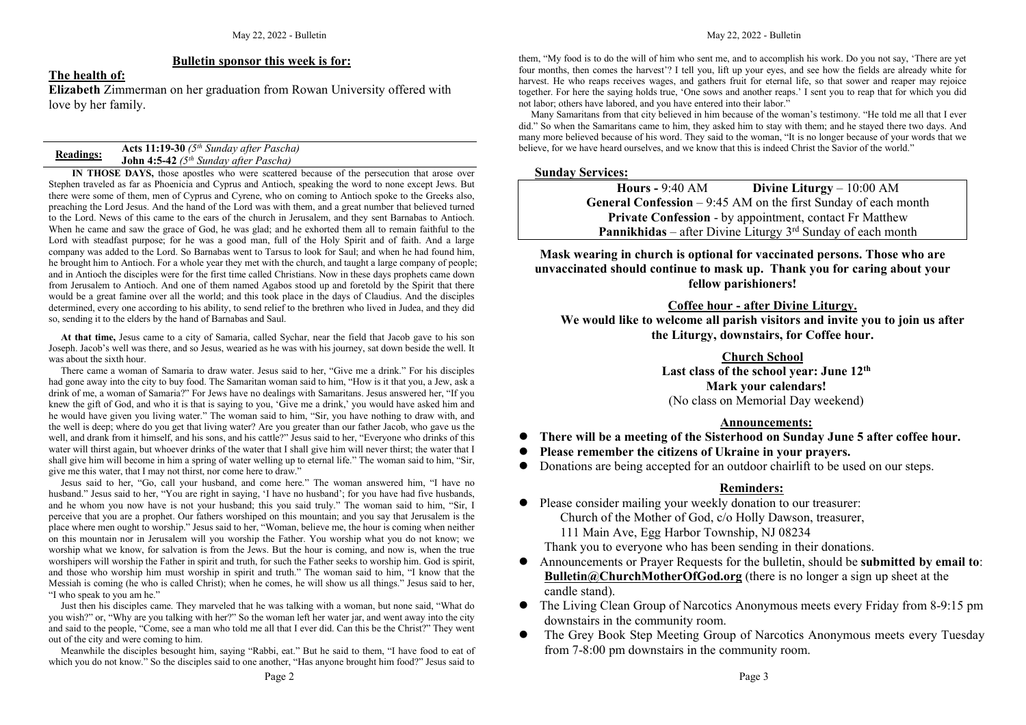### **Bulletin sponsor this week is for:**

### **The health of:**

**Elizabeth** Zimmerman on her graduation from Rowan University offered with love by her family.

| <b>Readings:</b> | <b>Acts 11:19-30</b> ( $5^{th}$ Sunday after Pascha) |
|------------------|------------------------------------------------------|
|                  | <b>John 4:5-42</b> ( $5^{th}$ Sunday after Pascha)   |

**IN THOSE DAYS,** those apostles who were scattered because of the persecution that arose over Stephen traveled as far as Phoenicia and Cyprus and Antioch, speaking the word to none except Jews. But there were some of them, men of Cyprus and Cyrene, who on coming to Antioch spoke to the Greeks also, preaching the Lord Jesus. And the hand of the Lord was with them, and a great number that believed turned to the Lord. News of this came to the ears of the church in Jerusalem, and they sent Barnabas to Antioch. When he came and saw the grace of God, he was glad; and he exhorted them all to remain faithful to the Lord with steadfast purpose; for he was a good man, full of the Holy Spirit and of faith. And a large company was added to the Lord. So Barnabas went to Tarsus to look for Saul: and when he had found him. he brought him to Antioch. For a whole year they met with the church, and taught a large company of people;<br>and in Antioch the disciples were for the first time called Christians. Now in these days prophets came down from Jerusalem to Antioch. And one of them named Agabos stood up and foretold by the Spirit that there would be a great famine overall the world; and this took place in the days of Claudius. And the disciples determined, every one according to his ability, to send relief to the brethren who lived in Judea, and they did so, sending it to the elders by the hand of Barnabas and Saul.

**At that time,** Jesus came to a city of Samaria, called Sychar, near the field that Jacob gave to his son Joseph. Jacob's well was there, and so Jesus, wearied as he was with his journey, sat down beside the well.It was about the sixth hour.

There came a woman of Samaria to draw water. Jesus said to her, "Give me a drink." For his disciples had gone away into the city to buy food. The Samaritan woman said to him, "How is it that you, a Jew, ask a drink of me, a woman of Samaria?" For Jews have no dealings with Samaritans. Jesus answered her, "If you knew the gift of God, and who it is that is saying to you, 'Give me a drink,' you would have asked him and he would have given you living water." The woman said to him, "Sir, you have nothing to draw with, and the well is deep; where do you get that living water? Are you greater than our father Jacob, who gave us the well, and drank from it himself, and hissons, and his cattle?" Jesus said to her, "Everyone who drinks ofthis water will thirst again, but whoever drinks of the water that I shall give him will never thirst; the water that I shall give him will become in him a spring of water welling up to eternal life." The woman said to him, "Sir, give me this water, that I may not thirst, nor come here to draw."

Jesus said to her, "Go, call your husband, and come here." The woman answered him, "I have no husband." Jesus said to her, "You are right in saying, 'I have no husband'; for you have had five husbands, and he whom you now have is not your husband; this you said truly." The woman said to him, "Sir, I perceive that you are a prophet.Our fathers worshiped on this mountain; and you say that Jerusalem is the place where men ought to worship." Jesus said to her, "Woman, believe me, the hour is coming when neither on this mountain nor in Jerusalem will you worship the Father.You worship what you do not know; we worship what we know, for salvation is from the Jews. But the hour is coming, and now is, when the true worshipers will worship the Father in spirit and truth, for such the Father seeks to worship him. God is spirit, and those who worship him mustworship in spiritand truth." The woman said to him, "I know that the Messiah is coming (he who is called Christ); when he comes, he will show us all things." Jesus said to her, "I who speak to you am he."

Just then his disciples came.They marveled that he was talking with a woman, but none said, "What do you wish?" or, "Why are you talking with her?" So the woman left herwater jar,and went away into the city and said to the people, "Come, see a man who told me all that I ever did. Can this be the Christ?" They went out of the city and were coming to him.

Meanwhile the disciples besought him, saying "Rabbi, eat." But he said to them, "I have food to eat of which you do not know." So the disciples said to one another, "Has anyone brought him food?" Jesus said to

them, "My food is to do the will of him who sent me, and to accomplish his work. Do you not say, 'There are yet four months, then comes the harvest'? I tell you, lift up your eyes, and see how the fields are already white for harvest. He who reaps receives wages, and gathers fruit for eternal life, so that sower and reaper may rejoice together. For here the saying holds true, 'One sows and another reaps.' I sent you to reap that for which you did not labor; others have labored, and you have entered into their labor."

Many Samaritans from that city believed in him because of the woman's testimony. "He told me all that I ever did." So when the Samaritans came to him, they asked him to stay with them; and he stayed there two days. And many more believed because of his word. They said to the woman, "It is no longer because of your words that we believe, for we have heard ourselves, and we know that this is indeed Christ the Savior of the world."

### **Sunday Services:**

**Hours -** 9:40 AM **Divine Liturgy** – 10:00 AM **General Confession** – 9:45 AM on the first Sunday of each month **Private Confession** - by appointment, contact Fr Matthew **Pannikhidas** – after Divine Liturgy 3<sup>rd</sup> Sunday of each month

**Mask wearing in church is optional for vaccinated persons. Those who are unvaccinated should continue to mask up. Thank you for caring about your fellow parishioners!**

**Coffee hour - after Divine Liturgy.**

**We would like to welcome all parish visitors and invite you tojoin us after the Liturgy, downstairs, for Coffee hour.**

> **Church School** Last class of the school vear: June  $12<sup>th</sup>$ **th Mark your calendars!** (No class on Memorial Day weekend)

### **Announcements:**

- **There will be a meeting of the Sisterhood on Sunday June 5 after coffee hour.**
- **Please remember the citizens ofUkraine in your prayers.**
- Donations are being accepted for an outdoor chairlift to be used on our steps.

### **Reminders:**

• Please consider mailing your weekly donation to our treasurer: Church of the Mother of God, c/o Holly Dawson, treasurer, 111 Main Ave, Egg Harbor Township, NJ 08234

Thank you to everyone who has been sending in their donations.

- Announcements or Prayer Requests for the bulletin, should be **submitted by email to**: **[Bulletin@ChurchMotherOfGod.org](mailto:Bulletin@ChurchMotherOfGod.org)** (there is no longer a sign up sheet at the candle stand).
- The Living Clean Group of Narcotics Anonymous meets every Friday from 8-9:15 pm downstairs in the community room.
- The Grey Book Step Meeting Group of Narcotics Anonymous meets every Tuesday from 7-8:00 pm downstairs in the community room.